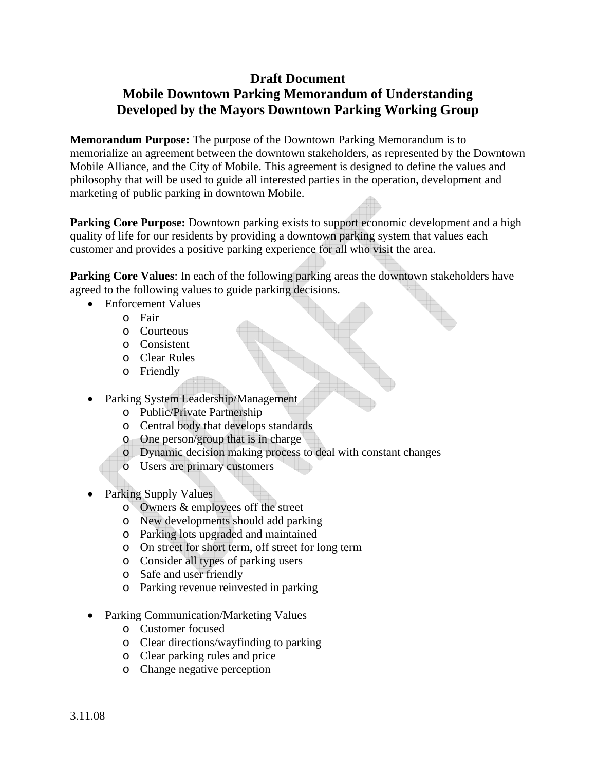## **Draft Document Mobile Downtown Parking Memorandum of Understanding Developed by the Mayors Downtown Parking Working Group**

**Memorandum Purpose:** The purpose of the Downtown Parking Memorandum is to memorialize an agreement between the downtown stakeholders, as represented by the Downtown Mobile Alliance, and the City of Mobile. This agreement is designed to define the values and philosophy that will be used to guide all interested parties in the operation, development and marketing of public parking in downtown Mobile.

**Parking Core Purpose:** Downtown parking exists to support economic development and a high quality of life for our residents by providing a downtown parking system that values each customer and provides a positive parking experience for all who visit the area.

**Parking Core Values:** In each of the following parking areas the downtown stakeholders have agreed to the following values to guide parking decisions.

- Enforcement Values
	- o Fair
	- o Courteous
	- o Consistent
	- o Clear Rules
	- o Friendly
- Parking System Leadership/Management
	- o Public/Private Partnership
	- o Central body that develops standards
	- o One person/group that is in charge
	- o Dynamic decision making process to deal with constant changes
	- o Users are primary customers
- Parking Supply Values
	- o Owners & employees off the street
	- o New developments should add parking
	- o Parking lots upgraded and maintained
	- o On street for short term, off street for long term
	- o Consider all types of parking users
	- o Safe and user friendly
	- o Parking revenue reinvested in parking
- Parking Communication/Marketing Values
	- o Customer focused
	- o Clear directions/wayfinding to parking
	- o Clear parking rules and price
	- o Change negative perception